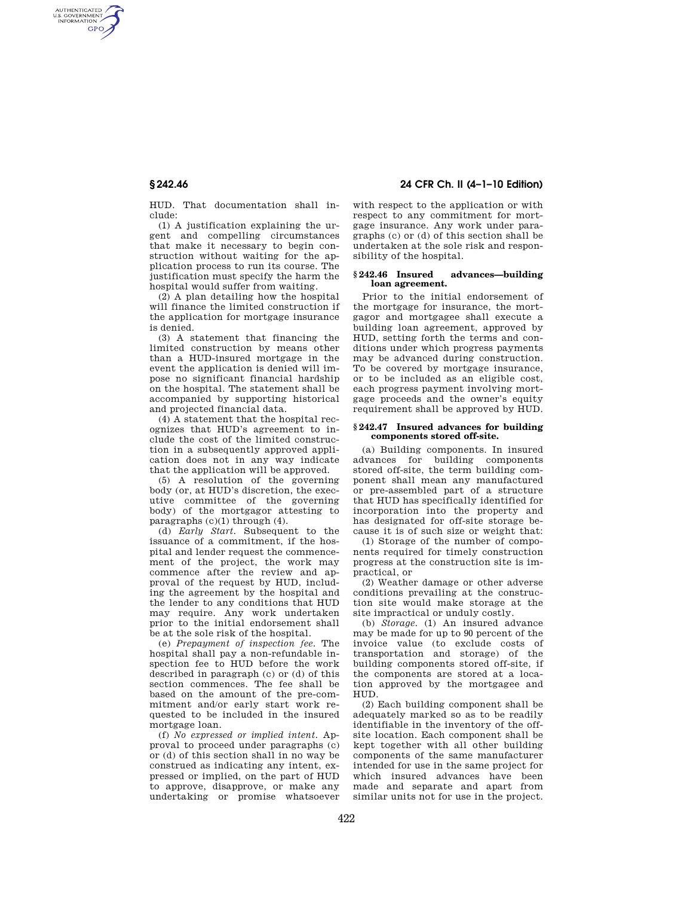AUTHENTICATED<br>U.S. GOVERNMENT<br>INFORMATION **GPO** 

> HUD. That documentation shall include:

> (1) A justification explaining the urgent and compelling circumstances that make it necessary to begin construction without waiting for the application process to run its course. The justification must specify the harm the hospital would suffer from waiting.

> (2) A plan detailing how the hospital will finance the limited construction if the application for mortgage insurance is denied.

> (3) A statement that financing the limited construction by means other than a HUD-insured mortgage in the event the application is denied will impose no significant financial hardship on the hospital. The statement shall be accompanied by supporting historical and projected financial data.

> (4) A statement that the hospital recognizes that HUD's agreement to include the cost of the limited construction in a subsequently approved application does not in any way indicate that the application will be approved.

> (5) A resolution of the governing body (or, at HUD's discretion, the executive committee of the governing body) of the mortgagor attesting to paragraphs (c)(1) through (4).

> (d) *Early Start.* Subsequent to the issuance of a commitment, if the hospital and lender request the commencement of the project, the work may commence after the review and approval of the request by HUD, including the agreement by the hospital and the lender to any conditions that HUD may require. Any work undertaken prior to the initial endorsement shall be at the sole risk of the hospital.

> (e) *Prepayment of inspection fee.* The hospital shall pay a non-refundable inspection fee to HUD before the work described in paragraph (c) or (d) of this section commences. The fee shall be based on the amount of the pre-commitment and/or early start work requested to be included in the insured mortgage loan.

> (f) *No expressed or implied intent.* Approval to proceed under paragraphs (c) or (d) of this section shall in no way be construed as indicating any intent, expressed or implied, on the part of HUD to approve, disapprove, or make any undertaking or promise whatsoever

# **§ 242.46 24 CFR Ch. II (4–1–10 Edition)**

with respect to the application or with respect to any commitment for mortgage insurance. Any work under paragraphs (c) or (d) of this section shall be undertaken at the sole risk and responsibility of the hospital.

## **§ 242.46 Insured advances—building loan agreement.**

Prior to the initial endorsement of the mortgage for insurance, the mortgagor and mortgagee shall execute a building loan agreement, approved by HUD, setting forth the terms and conditions under which progress payments may be advanced during construction. To be covered by mortgage insurance, or to be included as an eligible cost, each progress payment involving mortgage proceeds and the owner's equity requirement shall be approved by HUD.

### **§ 242.47 Insured advances for building components stored off-site.**

(a) Building components. In insured advances for building components stored off-site, the term building component shall mean any manufactured or pre-assembled part of a structure that HUD has specifically identified for incorporation into the property and has designated for off-site storage because it is of such size or weight that:

(1) Storage of the number of components required for timely construction progress at the construction site is impractical, or

(2) Weather damage or other adverse conditions prevailing at the construction site would make storage at the site impractical or unduly costly.

(b) *Storage.* (1) An insured advance may be made for up to 90 percent of the invoice value (to exclude costs of transportation and storage) of the building components stored off-site, if the components are stored at a location approved by the mortgagee and HUD.

(2) Each building component shall be adequately marked so as to be readily identifiable in the inventory of the offsite location. Each component shall be kept together with all other building components of the same manufacturer intended for use in the same project for which insured advances have been made and separate and apart from similar units not for use in the project.